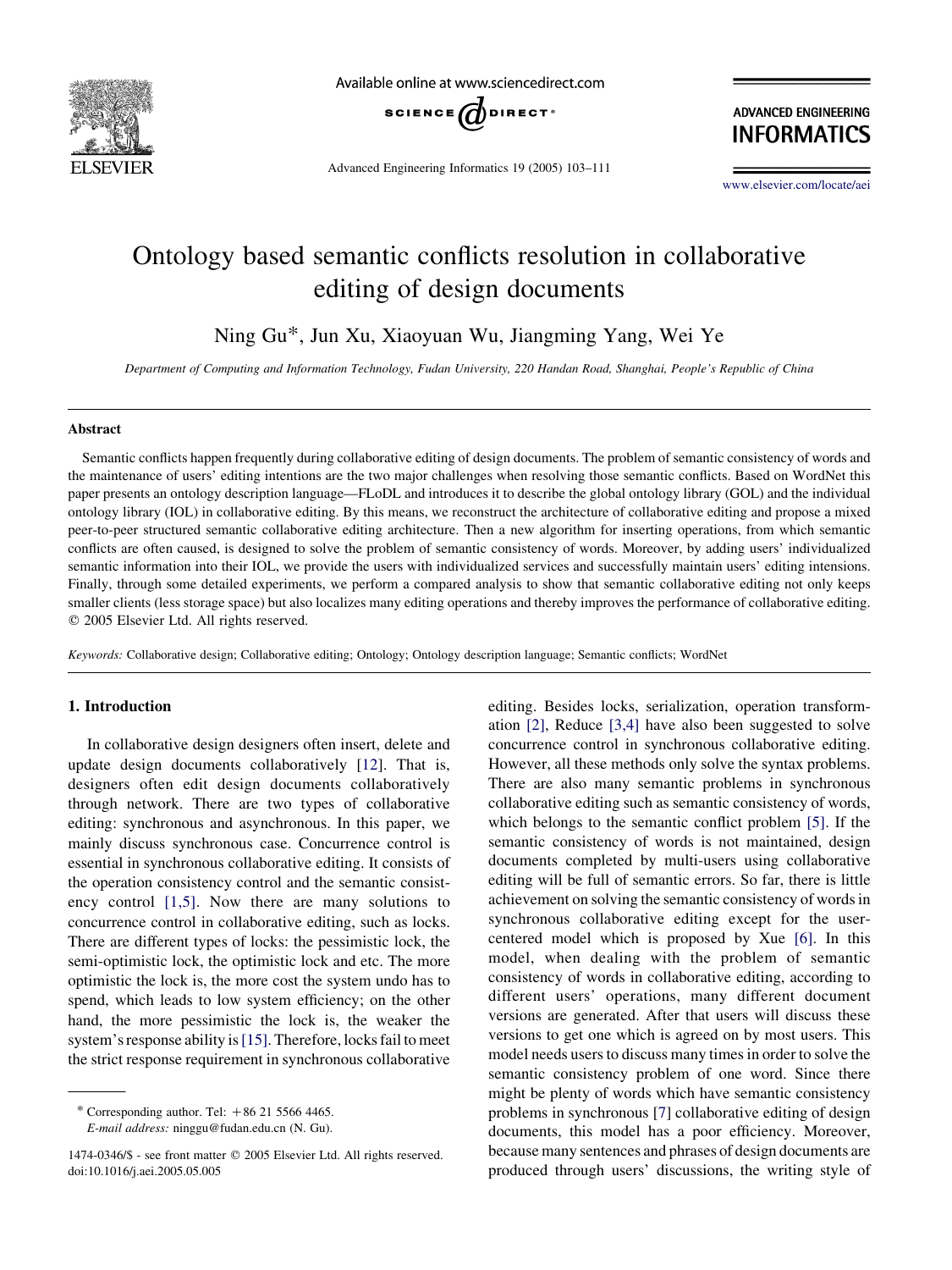

Available online at www.sciencedirect.com



Advanced Engineering Informatics 19 (2005) 103–111

**ADVANCED ENGINEERING INFORMATICS** 

[www.elsevier.com/locate/aei](http://www.elsevier.com/locate/aei)

## Ontology based semantic conflicts resolution in collaborative editing of design documents

Ning Gu\*, Jun Xu, Xiaoyuan Wu, Jiangming Yang, Wei Ye

Department of Computing and Information Technology, Fudan University, 220 Handan Road, Shanghai, People's Republic of China

#### Abstract

Semantic conflicts happen frequently during collaborative editing of design documents. The problem of semantic consistency of words and the maintenance of users' editing intentions are the two major challenges when resolving those semantic conflicts. Based on WordNet this paper presents an ontology description language—FLoDL and introduces it to describe the global ontology library (GOL) and the individual ontology library (IOL) in collaborative editing. By this means, we reconstruct the architecture of collaborative editing and propose a mixed peer-to-peer structured semantic collaborative editing architecture. Then a new algorithm for inserting operations, from which semantic conflicts are often caused, is designed to solve the problem of semantic consistency of words. Moreover, by adding users' individualized semantic information into their IOL, we provide the users with individualized services and successfully maintain users' editing intensions. Finally, through some detailed experiments, we perform a compared analysis to show that semantic collaborative editing not only keeps smaller clients (less storage space) but also localizes many editing operations and thereby improves the performance of collaborative editing.  $©$  2005 Elsevier Ltd. All rights reserved.

Keywords: Collaborative design; Collaborative editing; Ontology; Ontology description language; Semantic conflicts; WordNet

#### 1. Introduction

In collaborative design designers often insert, delete and update design documents collaboratively [\[12](#page--1-0)]. That is, designers often edit design documents collaboratively through network. There are two types of collaborative editing: synchronous and asynchronous. In this paper, we mainly discuss synchronous case. Concurrence control is essential in synchronous collaborative editing. It consists of the operation consistency control and the semantic consistency control [\[1,5\].](#page--1-0) Now there are many solutions to concurrence control in collaborative editing, such as locks. There are different types of locks: the pessimistic lock, the semi-optimistic lock, the optimistic lock and etc. The more optimistic the lock is, the more cost the system undo has to spend, which leads to low system efficiency; on the other hand, the more pessimistic the lock is, the weaker the system's response ability is [\[15\].](#page--1-0) Therefore, locks fail to meet the strict response requirement in synchronous collaborative

\* Corresponding author. Tel:  $+86$  21 5566 4465. E-mail address: ninggu@fudan.edu.cn (N. Gu).

editing. Besides locks, serialization, operation transformation [\[2\],](#page--1-0) Reduce [\[3,4\]](#page--1-0) have also been suggested to solve concurrence control in synchronous collaborative editing. However, all these methods only solve the syntax problems. There are also many semantic problems in synchronous collaborative editing such as semantic consistency of words, which belongs to the semantic conflict problem [\[5\]](#page--1-0). If the semantic consistency of words is not maintained, design documents completed by multi-users using collaborative editing will be full of semantic errors. So far, there is little achievement on solving the semantic consistency of words in synchronous collaborative editing except for the usercentered model which is proposed by Xue [\[6\].](#page--1-0) In this model, when dealing with the problem of semantic consistency of words in collaborative editing, according to different users' operations, many different document versions are generated. After that users will discuss these versions to get one which is agreed on by most users. This model needs users to discuss many times in order to solve the semantic consistency problem of one word. Since there might be plenty of words which have semantic consistency problems in synchronous [[7\]](#page--1-0) collaborative editing of design documents, this model has a poor efficiency. Moreover, because many sentences and phrases of design documents are produced through users' discussions, the writing style of

<sup>1474-0346/\$ -</sup> see front matter q 2005 Elsevier Ltd. All rights reserved. doi:10.1016/j.aei.2005.05.005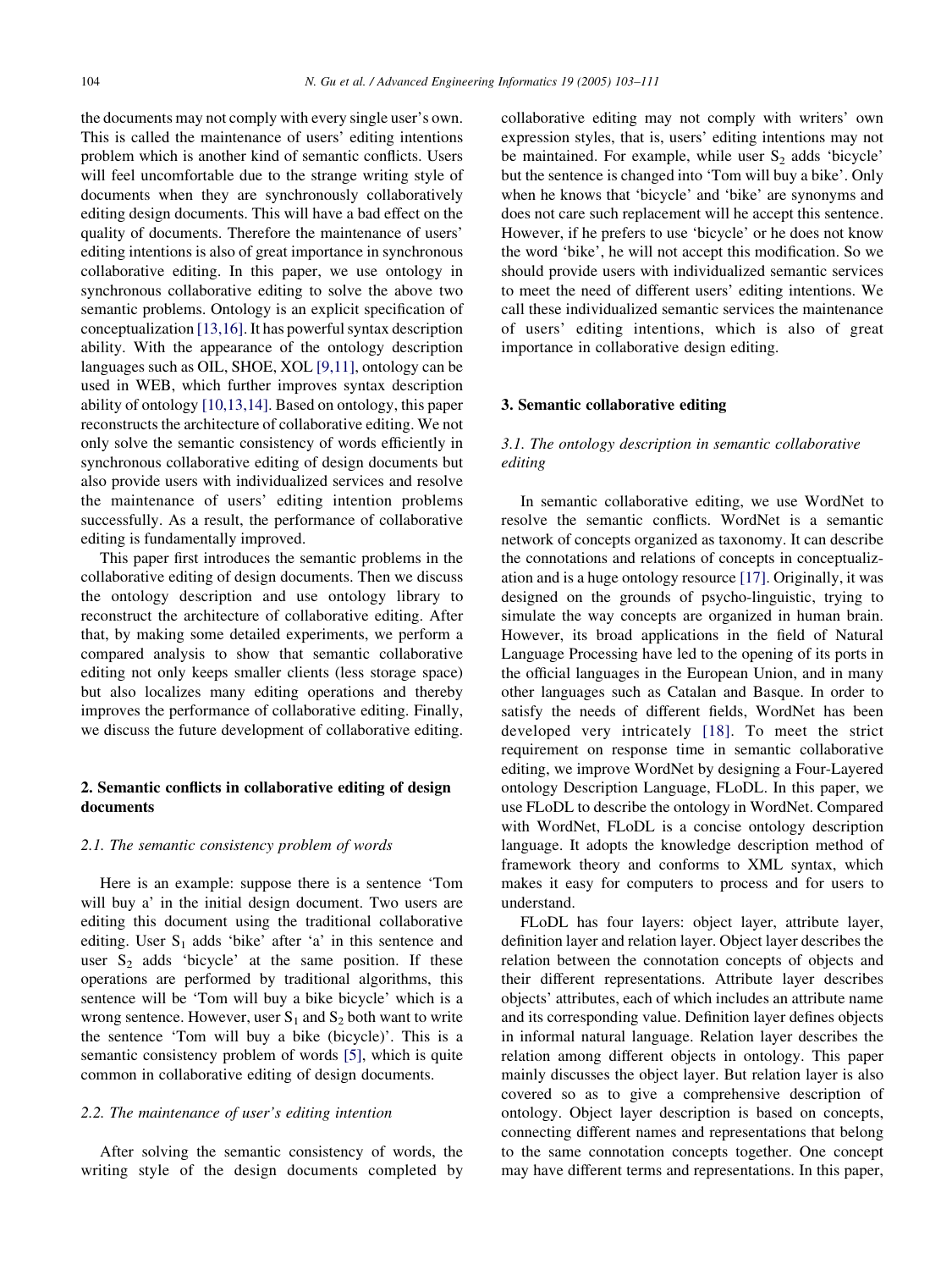the documents may not comply with every single user's own. This is called the maintenance of users' editing intentions problem which is another kind of semantic conflicts. Users will feel uncomfortable due to the strange writing style of documents when they are synchronously collaboratively editing design documents. This will have a bad effect on the quality of documents. Therefore the maintenance of users' editing intentions is also of great importance in synchronous collaborative editing. In this paper, we use ontology in synchronous collaborative editing to solve the above two semantic problems. Ontology is an explicit specification of conceptualization [\[13,16\]](#page--1-0). It has powerful syntax description ability. With the appearance of the ontology description languages such as OIL, SHOE, XOL [\[9,11\]](#page--1-0), ontology can be used in WEB, which further improves syntax description ability of ontology [\[10,13,14\].](#page--1-0) Based on ontology, this paper reconstructs the architecture of collaborative editing. We not only solve the semantic consistency of words efficiently in synchronous collaborative editing of design documents but also provide users with individualized services and resolve the maintenance of users' editing intention problems successfully. As a result, the performance of collaborative editing is fundamentally improved.

This paper first introduces the semantic problems in the collaborative editing of design documents. Then we discuss the ontology description and use ontology library to reconstruct the architecture of collaborative editing. After that, by making some detailed experiments, we perform a compared analysis to show that semantic collaborative editing not only keeps smaller clients (less storage space) but also localizes many editing operations and thereby improves the performance of collaborative editing. Finally, we discuss the future development of collaborative editing.

## 2. Semantic conflicts in collaborative editing of design documents

#### 2.1. The semantic consistency problem of words

Here is an example: suppose there is a sentence 'Tom will buy a' in the initial design document. Two users are editing this document using the traditional collaborative editing. User  $S_1$  adds 'bike' after 'a' in this sentence and user  $S_2$  adds 'bicycle' at the same position. If these operations are performed by traditional algorithms, this sentence will be 'Tom will buy a bike bicycle' which is a wrong sentence. However, user  $S_1$  and  $S_2$  both want to write the sentence 'Tom will buy a bike (bicycle)'. This is a semantic consistency problem of words [\[5\],](#page--1-0) which is quite common in collaborative editing of design documents.

#### 2.2. The maintenance of user's editing intention

After solving the semantic consistency of words, the writing style of the design documents completed by collaborative editing may not comply with writers' own expression styles, that is, users' editing intentions may not be maintained. For example, while user  $S_2$  adds 'bicycle' but the sentence is changed into 'Tom will buy a bike'. Only when he knows that 'bicycle' and 'bike' are synonyms and does not care such replacement will he accept this sentence. However, if he prefers to use 'bicycle' or he does not know the word 'bike', he will not accept this modification. So we should provide users with individualized semantic services to meet the need of different users' editing intentions. We call these individualized semantic services the maintenance of users' editing intentions, which is also of great importance in collaborative design editing.

#### 3. Semantic collaborative editing

### 3.1. The ontology description in semantic collaborative editing

In semantic collaborative editing, we use WordNet to resolve the semantic conflicts. WordNet is a semantic network of concepts organized as taxonomy. It can describe the connotations and relations of concepts in conceptualization and is a huge ontology resource [\[17\]](#page--1-0). Originally, it was designed on the grounds of psycho-linguistic, trying to simulate the way concepts are organized in human brain. However, its broad applications in the field of Natural Language Processing have led to the opening of its ports in the official languages in the European Union, and in many other languages such as Catalan and Basque. In order to satisfy the needs of different fields, WordNet has been developed very intricately [\[18\]](#page--1-0). To meet the strict requirement on response time in semantic collaborative editing, we improve WordNet by designing a Four-Layered ontology Description Language, FLoDL. In this paper, we use FLoDL to describe the ontology in WordNet. Compared with WordNet, FLoDL is a concise ontology description language. It adopts the knowledge description method of framework theory and conforms to XML syntax, which makes it easy for computers to process and for users to understand.

FLoDL has four layers: object layer, attribute layer, definition layer and relation layer. Object layer describes the relation between the connotation concepts of objects and their different representations. Attribute layer describes objects' attributes, each of which includes an attribute name and its corresponding value. Definition layer defines objects in informal natural language. Relation layer describes the relation among different objects in ontology. This paper mainly discusses the object layer. But relation layer is also covered so as to give a comprehensive description of ontology. Object layer description is based on concepts, connecting different names and representations that belong to the same connotation concepts together. One concept may have different terms and representations. In this paper,